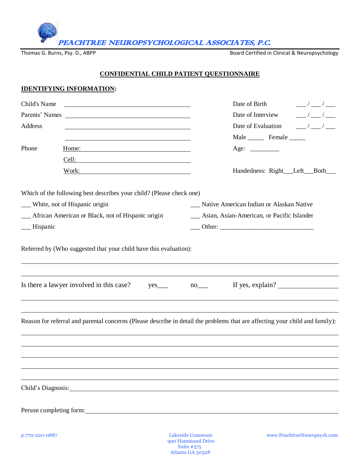PEACHTREE NEUROPSYCHOLOGICAL ASSOCIATES, P.C.

Thomas G. Burns, Psy. D., ABPP **Board Certified in Clinical & Neuropsychology** 

#### **CONFIDENTIAL CHILD PATIENT QUESTIONNAIRE**

#### **IDENTIFYING INFORMATION:**

| Child's Name   |                                                                                                                      | Date of Birth<br>$\frac{\frac{1}{2}}{2}$                                                                                           |
|----------------|----------------------------------------------------------------------------------------------------------------------|------------------------------------------------------------------------------------------------------------------------------------|
| Parents' Names | <u> 1989 - Johann John Stein, markin fan it ferstjer fan it ferstjer fan it ferstjer fan it ferstjer fan it fers</u> | $\frac{\mu}{\mu} = \frac{1}{2} \left( \frac{\mu}{\mu} \right)^2 \frac{1}{2} \left( \frac{\mu}{\mu} \right)^2$<br>Date of Interview |
| Address        |                                                                                                                      | $\frac{1}{\sqrt{1-\frac{1}{2}}}$<br>Date of Evaluation                                                                             |
|                |                                                                                                                      | Male _________ Female _______                                                                                                      |
| Phone          | $H$ ome:                                                                                                             | Age: $\qquad \qquad$                                                                                                               |
|                |                                                                                                                      |                                                                                                                                    |
|                |                                                                                                                      | Handedness: Right__Left__Both__                                                                                                    |
|                | Which of the following best describes your child? (Please check one)                                                 |                                                                                                                                    |
|                | White, not of Hispanic origin                                                                                        | __ Native American Indian or Alaskan Native                                                                                        |
|                | __ African American or Black, not of Hispanic origin                                                                 | __ Asian, Asian-American, or Pacific Islander                                                                                      |
| -Hispanic      |                                                                                                                      |                                                                                                                                    |
|                | Is there a lawyer involved in this case?<br>$yes$ <sub>____</sub>                                                    | $no$ <sub>___</sub>                                                                                                                |
|                |                                                                                                                      | Reason for referral and parental concerns (Please describe in detail the problems that are affecting your child and family):       |
|                |                                                                                                                      |                                                                                                                                    |
|                |                                                                                                                      |                                                                                                                                    |
|                |                                                                                                                      |                                                                                                                                    |
|                |                                                                                                                      |                                                                                                                                    |
|                |                                                                                                                      |                                                                                                                                    |
|                |                                                                                                                      |                                                                                                                                    |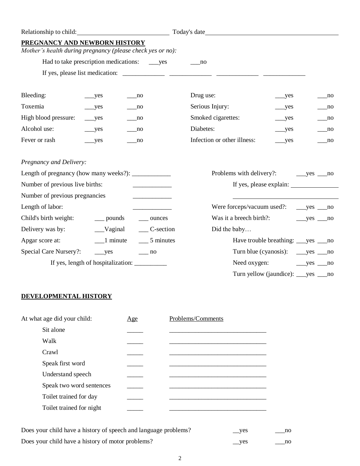| Relationship to child:                                                           |                                                |                                            |                             |                                            |                                            |
|----------------------------------------------------------------------------------|------------------------------------------------|--------------------------------------------|-----------------------------|--------------------------------------------|--------------------------------------------|
| PREGNANCY AND NEWBORN HISTORY                                                    |                                                |                                            |                             |                                            |                                            |
| Mother's health during pregnancy (please check yes or no):                       |                                                |                                            |                             |                                            |                                            |
|                                                                                  |                                                |                                            | no                          |                                            |                                            |
|                                                                                  |                                                |                                            |                             |                                            |                                            |
|                                                                                  |                                                |                                            |                             |                                            |                                            |
| Bleeding:                                                                        | $\_\_\$ {yes}                                  | $\sqrt{10}$                                | Drug use:                   | $\_\_$ yes                                 | $\overline{\phantom{a}}$ no                |
| Toxemia                                                                          | $\_\_$                                         | $\sqrt{ }$ no                              | Serious Injury:             | $__yes$                                    | $\sqrt{2}$ no                              |
| High blood pressure:                                                             | $__yes$                                        | no                                         | Smoked cigarettes:          | $\_\_$                                     | $\sqrt{10}$                                |
| Alcohol use:                                                                     | $\rightharpoonup$ yes                          | no                                         | Diabetes:                   | yes                                        | $\sqrt{2}$ no                              |
| Fever or rash                                                                    | $__yes$                                        | no                                         | Infection or other illness: | $\_\text{yes}$                             | $\sqrt{2}$ no                              |
| Pregnancy and Delivery:<br>Length of pregnancy (how many weeks?): ______________ |                                                |                                            |                             |                                            |                                            |
| Number of previous live births:                                                  |                                                |                                            |                             |                                            |                                            |
| Number of previous pregnancies                                                   |                                                | <u> 1989 - Johann Barn, mars ann an t-</u> |                             |                                            |                                            |
| Length of labor:                                                                 |                                                |                                            | Were forceps/vacuum used?:  |                                            | $__yes__no$                                |
| Child's birth weight:                                                            | __ pounds                                      | ____ ounces                                | Was it a breech birth?:     |                                            | $__yes__no$                                |
| Delivery was by:                                                                 | $\_\_$ Vaginal                                 | $\_\_$ C-section                           | Did the baby                |                                            |                                            |
| Apgar score at:                                                                  | $\frac{-1}{2}$ minute                          | $\frac{5}{2}$ minutes                      |                             | Have trouble breathing: _____ yes _____ no |                                            |
| <b>Special Care Nursery?:</b>                                                    | $__yes$                                        | $\sim$ no                                  |                             |                                            |                                            |
|                                                                                  | If yes, length of hospitalization: ___________ |                                            | Need oxygen:                |                                            | $\rightharpoonup$ yes $\rightharpoonup$ no |
|                                                                                  |                                                |                                            |                             | Turn yellow (jaundice): ___yes _           | no                                         |

# **DEVELOPMENTAL HISTORY**

| At what age did your child: | Age | Problems/Comments |
|-----------------------------|-----|-------------------|
| Sit alone                   |     |                   |
| Walk                        |     |                   |
| Crawl                       |     |                   |
| Speak first word            |     |                   |
| Understand speech           |     |                   |
| Speak two word sentences    |     |                   |
| Toilet trained for day      |     |                   |
| Toilet trained for night    |     |                   |
|                             |     |                   |

Does your child have a history of speech and language problems? \_\_yes \_\_\_no Does your child have a history of motor problems? \_\_yes \_\_\_no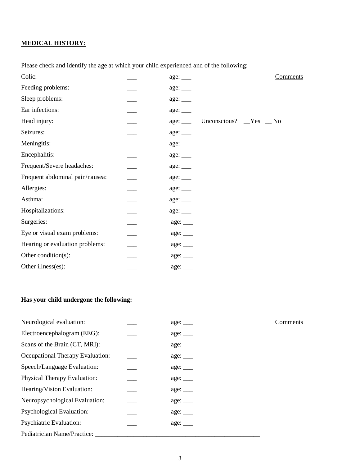# **MEDICAL HISTORY:**

Please check and identify the age at which your child experienced and of the following:

| Colic:                          |                      | Comments                    |
|---------------------------------|----------------------|-----------------------------|
| Feeding problems:               |                      |                             |
| Sleep problems:                 |                      |                             |
| Ear infections:                 |                      |                             |
| Head injury:                    | age:                 | Unconscious? $Yes$ $\_\$ No |
| Seizures:                       |                      |                             |
| Meningitis:                     |                      |                             |
| Encephalitis:                   |                      |                             |
| Frequent/Severe headaches:      |                      |                             |
| Frequent abdominal pain/nausea: | age: ___             |                             |
| Allergies:                      |                      |                             |
| Asthma:                         |                      |                             |
| Hospitalizations:               |                      |                             |
| Surgeries:                      |                      |                             |
| Eye or visual exam problems:    |                      |                             |
| Hearing or evaluation problems: |                      |                             |
| Other condition(s):             |                      |                             |
| Other illness(es):              | $\text{age:}\_\_\_\$ |                             |

# **Has your child undergone the following:**

| Neurological evaluation:         | age:                 |
|----------------------------------|----------------------|
| Electroencephalogram (EEG):      | age:                 |
| Scans of the Brain (CT, MRI):    |                      |
| Occupational Therapy Evaluation: | $\text{age:}\_\_\_\$ |
| Speech/Language Evaluation:      | age:                 |
| Physical Therapy Evaluation:     | age:                 |
| Hearing/Vision Evaluation:       | age:                 |
| Neuropsychological Evaluation:   | age:                 |
| Psychological Evaluation:        | age:                 |
| <b>Psychiatric Evaluation:</b>   | age:                 |
| Pediatrician Name/Practice:      |                      |

Comments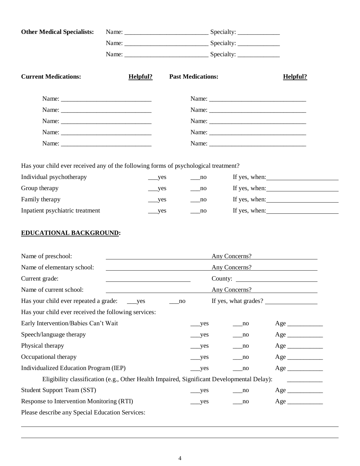| <b>Other Medical Specialists:</b>                                                          |          |                               |                             |               |
|--------------------------------------------------------------------------------------------|----------|-------------------------------|-----------------------------|---------------|
|                                                                                            |          |                               |                             |               |
|                                                                                            |          |                               |                             |               |
| <b>Current Medications:</b>                                                                | Helpful? | <b>Past Medications:</b>      | Helpful?                    |               |
|                                                                                            |          |                               |                             |               |
|                                                                                            |          |                               |                             |               |
|                                                                                            |          |                               |                             |               |
|                                                                                            |          |                               |                             |               |
|                                                                                            |          |                               |                             |               |
|                                                                                            |          |                               |                             |               |
| Has your child ever received any of the following forms of psychological treatment?        |          |                               |                             |               |
| Individual psychotherapy                                                                   |          | $\equiv$ no<br>$\_\text{yes}$ |                             | If yes, when: |
| Group therapy                                                                              |          | ___yes<br>no                  |                             | If yes, when: |
| Family therapy                                                                             |          | $\rightharpoonup$ yes<br>no   |                             | If yes, when: |
| Inpatient psychiatric treatment                                                            |          | yes<br>no                     |                             | If yes, when: |
| <b>EDUCATIONAL BACKGROUND:</b><br>Name of preschool:                                       |          |                               | Any Concerns?               |               |
| Name of elementary school:                                                                 |          |                               | Any Concerns?               |               |
| Current grade:                                                                             |          |                               |                             |               |
| Name of current school:                                                                    |          |                               | Any Concerns?               |               |
| Has your child ever repeated a grade:                                                      | yes      | no                            | If yes, what grades?        |               |
| Has your child ever received the following services:                                       |          |                               |                             |               |
| Early Intervention/Babies Can't Wait                                                       |          | _yes                          | $\overline{p}$              |               |
| Speech/language therapy                                                                    |          | $_{\rm yes}$                  | no                          |               |
| Physical therapy                                                                           |          | $_{\rm yes}$                  | $\overline{\phantom{0}}$ no |               |
| Occupational therapy                                                                       |          | yes                           | no                          |               |
| Individualized Education Program (IEP)                                                     |          | $\_\text{yes}$                | $\equiv$ no                 |               |
| Eligibility classification (e.g., Other Health Impaired, Significant Developmental Delay): |          |                               |                             |               |
| <b>Student Support Team (SST)</b>                                                          |          | yes                           | $\overline{\text{no}}$      |               |
|                                                                                            |          |                               |                             |               |
| Response to Intervention Monitoring (RTI)                                                  |          | yes                           | $\overline{p}$              |               |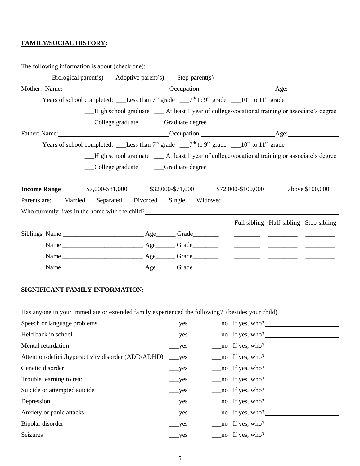# **FAMILY/SOCIAL HISTORY:**

The following information is about (check one):

|                                                                                          | $\text{Biological parent}(s)$ $\_\text{Adoptive parent}(s)$ $\_\text{Step-part}(s)$                                                   |  |                                                                         |  |
|------------------------------------------------------------------------------------------|---------------------------------------------------------------------------------------------------------------------------------------|--|-------------------------------------------------------------------------|--|
|                                                                                          |                                                                                                                                       |  |                                                                         |  |
|                                                                                          |                                                                                                                                       |  |                                                                         |  |
|                                                                                          | __High school graduate __ At least 1 year of college/vocational training or associate's degree                                        |  |                                                                         |  |
|                                                                                          | __College graduate _____Graduate degree                                                                                               |  |                                                                         |  |
|                                                                                          |                                                                                                                                       |  |                                                                         |  |
|                                                                                          |                                                                                                                                       |  |                                                                         |  |
|                                                                                          | -High school graduate -At least 1 year of college/vocational training or associate's degree<br>College graduate ______Graduate degree |  |                                                                         |  |
| <b>Income Range</b> 57,000-\$31,000 532,000-\$71,000 572,000-\$100,000 b above \$100,000 |                                                                                                                                       |  |                                                                         |  |
| Parents are: __Married __Separated __Divorced __Single __Widowed                         |                                                                                                                                       |  |                                                                         |  |
| Who currently lives in the home with the child?                                          |                                                                                                                                       |  |                                                                         |  |
|                                                                                          |                                                                                                                                       |  | Full sibling Half-sibling Step-sibling                                  |  |
|                                                                                          |                                                                                                                                       |  | <u> 1999 - Jan Barbara (h. 1989).</u><br>1900 - John Barbara (h. 1900). |  |
|                                                                                          |                                                                                                                                       |  |                                                                         |  |
|                                                                                          |                                                                                                                                       |  |                                                                         |  |
|                                                                                          |                                                                                                                                       |  |                                                                         |  |

## **SIGNIFICANT FAMILY INFORMATION:**

Has anyone in your immediate or extended family experienced the following? (besides your child)

| Speech or language problems                         | $\_\_$ yes            | $\frac{\text{no}}{\text{m}}$ If yes, who?  |
|-----------------------------------------------------|-----------------------|--------------------------------------------|
| Held back in school                                 | $\_\_$                | $\frac{\text{no}}{\text{no}}$ If yes, who? |
| Mental retardation                                  | $__yes$               | $\frac{\text{mo}}{\text{mo}}$ If yes, who? |
| Attention-deficit/hyperactivity disorder (ADD/ADHD) | $\_\text{yes}$        | $\frac{\text{mo}}{\text{mo}}$ If yes, who? |
| Genetic disorder                                    | $\_\_$ yes            | $\frac{\text{mo}}{\text{mo}}$ If yes, who? |
| Trouble learning to read                            | $__yes$               | $\frac{\text{mo}}{\text{mo}}$ If yes, who? |
| Suicide or attempted suicide                        | $\_\_$                | $\frac{\text{mo}}{\text{mo}}$ If yes, who? |
| Depression                                          | $\_\_$ yes            | $\frac{\text{mo}}{\text{mo}}$ If yes, who? |
| Anxiety or panic attacks                            | $\_\_$ yes            | $\frac{\text{mo}}{\text{mo}}$ If yes, who? |
| Bipolar disorder                                    | $\rightharpoonup$ yes | $\frac{\text{mo}}{\text{mo}}$ If yes, who? |
| Seizures                                            | $\_\_$ yes            | $\frac{1}{2}$ no If yes, who?              |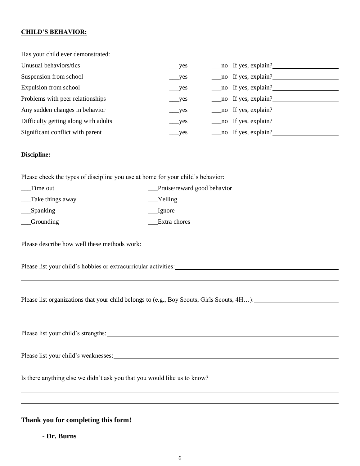# **CHILD'S BEHAVIOR:**

| Has your child ever demonstrated:                                                          |                             |  |                     |  |  |  |  |
|--------------------------------------------------------------------------------------------|-----------------------------|--|---------------------|--|--|--|--|
| Unusual behaviors/tics                                                                     | $\_\_$ yes                  |  | no If yes, explain? |  |  |  |  |
| Suspension from school                                                                     | $\_\_$                      |  | no If yes, explain? |  |  |  |  |
| Expulsion from school                                                                      | $\_\_$                      |  | no If yes, explain? |  |  |  |  |
| Problems with peer relationships                                                           | yes                         |  | no If yes, explain? |  |  |  |  |
| Any sudden changes in behavior                                                             | yes                         |  | no If yes, explain? |  |  |  |  |
| Difficulty getting along with adults                                                       | yes                         |  | no If yes, explain? |  |  |  |  |
| Significant conflict with parent                                                           | yes                         |  | no If yes, explain? |  |  |  |  |
| Discipline:                                                                                |                             |  |                     |  |  |  |  |
| Please check the types of discipline you use at home for your child's behavior:            |                             |  |                     |  |  |  |  |
| __Time out                                                                                 | Praise/reward good behavior |  |                     |  |  |  |  |
| __Take things away                                                                         | $Y$ elling                  |  |                     |  |  |  |  |
| $\_\_\$ Spanking                                                                           | <b>Ignore</b>               |  |                     |  |  |  |  |
| <b>Grounding</b>                                                                           | Extra chores                |  |                     |  |  |  |  |
| Please describe how well these methods work:                                               |                             |  |                     |  |  |  |  |
|                                                                                            |                             |  |                     |  |  |  |  |
| Please list organizations that your child belongs to (e.g., Boy Scouts, Girls Scouts, 4H): |                             |  |                     |  |  |  |  |
|                                                                                            |                             |  |                     |  |  |  |  |
|                                                                                            |                             |  |                     |  |  |  |  |
|                                                                                            |                             |  |                     |  |  |  |  |
|                                                                                            |                             |  |                     |  |  |  |  |
|                                                                                            |                             |  |                     |  |  |  |  |
| ,我们也不会有什么。""我们的人,我们也不会有什么?""我们的人,我们也不会有什么?""我们的人,我们也不会有什么?""我们的人,我们也不会有什么?""我们的人           |                             |  |                     |  |  |  |  |
|                                                                                            |                             |  |                     |  |  |  |  |

**Thank you for completing this form!**

**- Dr. Burns**